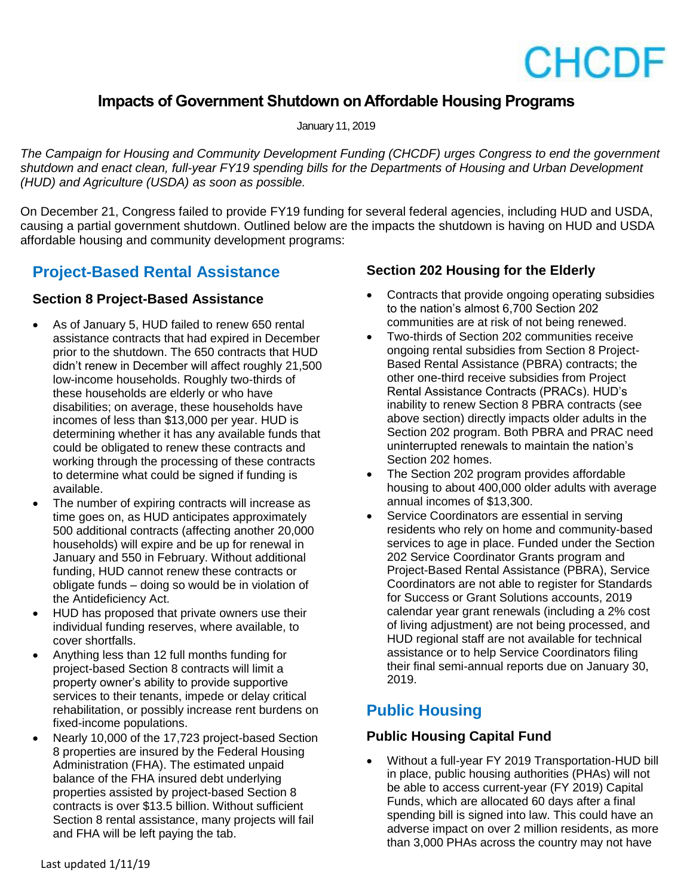

## **Impacts of Government Shutdown on Affordable Housing Programs**

January 11, 2019

*The Campaign for Housing and Community Development Funding (CHCDF) urges Congress to end the government shutdown and enact clean, full-year FY19 spending bills for the Departments of Housing and Urban Development (HUD) and Agriculture (USDA) as soon as possible.*

On December 21, Congress failed to provide FY19 funding for several federal agencies, including HUD and USDA, causing a partial government shutdown. Outlined below are the impacts the shutdown is having on HUD and USDA affordable housing and community development programs:

## **Project-Based Rental Assistance**

### **Section 8 Project-Based Assistance**

- As of January 5, HUD failed to renew 650 rental assistance contracts that had expired in December prior to the shutdown. The 650 contracts that HUD didn't renew in December will affect roughly 21,500 low-income households. Roughly two-thirds of these households are elderly or who have disabilities; on average, these households have incomes of less than \$13,000 per year. HUD is determining whether it has any available funds that could be obligated to renew these contracts and working through the processing of these contracts to determine what could be signed if funding is available.
- The number of expiring contracts will increase as time goes on, as HUD anticipates approximately 500 additional contracts (affecting another 20,000 households) will expire and be up for renewal in January and 550 in February. Without additional funding, HUD cannot renew these contracts or obligate funds – doing so would be in violation of the Antideficiency Act.
- HUD has proposed that private owners use their individual funding reserves, where available, to cover shortfalls.
- Anything less than 12 full months funding for project-based Section 8 contracts will limit a property owner's ability to provide supportive services to their tenants, impede or delay critical rehabilitation, or possibly increase rent burdens on fixed-income populations.
- Nearly 10,000 of the 17,723 project-based Section 8 properties are insured by the Federal Housing Administration (FHA). The estimated unpaid balance of the FHA insured debt underlying properties assisted by project-based Section 8 contracts is over \$13.5 billion. Without sufficient Section 8 rental assistance, many projects will fail and FHA will be left paying the tab.

### **Section 202 Housing for the Elderly**

- Contracts that provide ongoing operating subsidies to the nation's almost 6,700 Section 202 communities are at risk of not being renewed.
- Two-thirds of Section 202 communities receive ongoing rental subsidies from Section 8 Project-Based Rental Assistance (PBRA) contracts; the other one-third receive subsidies from Project Rental Assistance Contracts (PRACs). HUD's inability to renew Section 8 PBRA contracts (see above section) directly impacts older adults in the Section 202 program. Both PBRA and PRAC need uninterrupted renewals to maintain the nation's Section 202 homes.
- The Section 202 program provides affordable housing to about 400,000 older adults with average annual incomes of \$13,300.
- Service Coordinators are essential in serving residents who rely on home and community-based services to age in place. Funded under the Section 202 Service Coordinator Grants program and Project-Based Rental Assistance (PBRA), Service Coordinators are not able to register for Standards for Success or Grant Solutions accounts, 2019 calendar year grant renewals (including a 2% cost of living adjustment) are not being processed, and HUD regional staff are not available for technical assistance or to help Service Coordinators filing their final semi-annual reports due on January 30, 2019.

## **Public Housing**

#### **Public Housing Capital Fund**

• Without a full-year FY 2019 Transportation-HUD bill in place, public housing authorities (PHAs) will not be able to access current-year (FY 2019) Capital Funds, which are allocated 60 days after a final spending bill is signed into law. This could have an adverse impact on over 2 million residents, as more than 3,000 PHAs across the country may not have